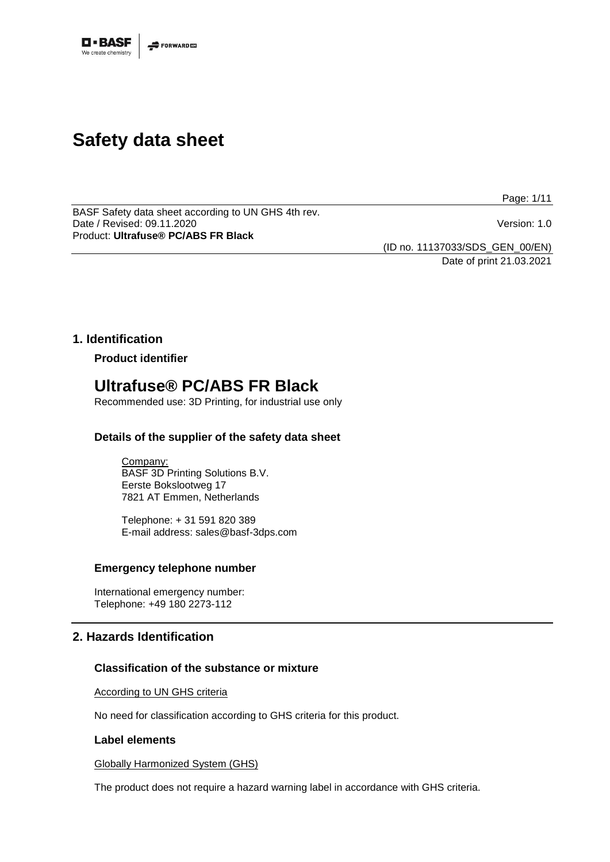

# **Safety data sheet**

Page: 1/11

BASF Safety data sheet according to UN GHS 4th rev. Date / Revised: 09.11.2020 Version: 1.0 Product: **Ultrafuse® PC/ABS FR Black**

(ID no. 11137033/SDS\_GEN\_00/EN)

Date of print 21.03.2021

# **1. Identification**

**Product identifier**

# **Ultrafuse® PC/ABS FR Black**

Recommended use: 3D Printing, for industrial use only

# **Details of the supplier of the safety data sheet**

Company: BASF 3D Printing Solutions B.V. Eerste Bokslootweg 17 7821 AT Emmen, Netherlands

Telephone: + 31 591 820 389 E-mail address: sales@basf-3dps.com

# **Emergency telephone number**

International emergency number: Telephone: +49 180 2273-112

# **2. Hazards Identification**

# **Classification of the substance or mixture**

According to UN GHS criteria

No need for classification according to GHS criteria for this product.

# **Label elements**

Globally Harmonized System (GHS)

The product does not require a hazard warning label in accordance with GHS criteria.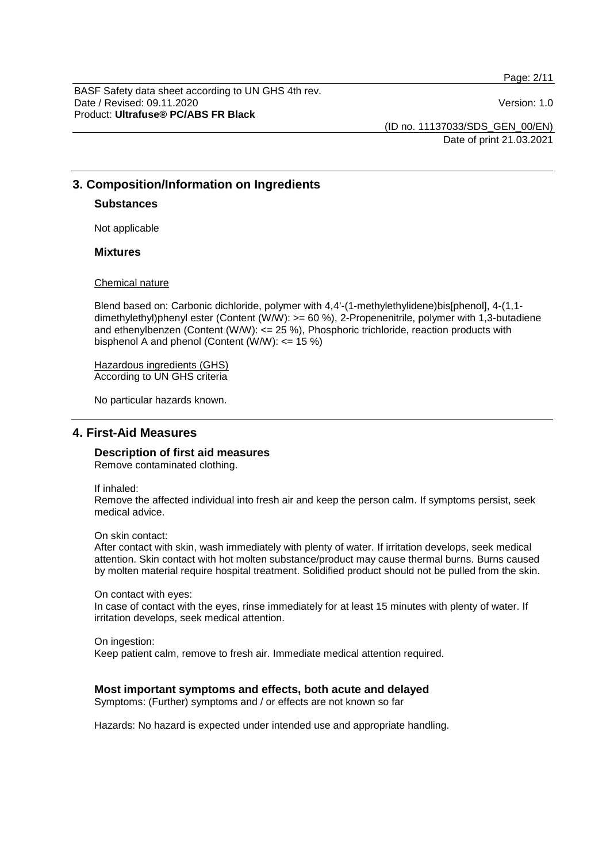Page: 2/11

BASF Safety data sheet according to UN GHS 4th rev. Date / Revised: 09.11.2020 **Version: 1.0** Product: **Ultrafuse® PC/ABS FR Black**

(ID no. 11137033/SDS\_GEN\_00/EN) Date of print 21.03.2021

# **3. Composition/Information on Ingredients**

#### **Substances**

Not applicable

# **Mixtures**

#### Chemical nature

Blend based on: Carbonic dichloride, polymer with 4,4'-(1-methylethylidene)bis[phenol], 4-(1,1 dimethylethyl)phenyl ester (Content (W/W): >= 60 %), 2-Propenenitrile, polymer with 1,3-butadiene and ethenylbenzen (Content (W/W):  $\leq$  25 %), Phosphoric trichloride, reaction products with bisphenol A and phenol (Content (W/W):  $\leq$  15 %)

Hazardous ingredients (GHS) According to UN GHS criteria

No particular hazards known.

# **4. First-Aid Measures**

# **Description of first aid measures**

Remove contaminated clothing.

If inhaled:

Remove the affected individual into fresh air and keep the person calm. If symptoms persist, seek medical advice.

On skin contact:

After contact with skin, wash immediately with plenty of water. If irritation develops, seek medical attention. Skin contact with hot molten substance/product may cause thermal burns. Burns caused by molten material require hospital treatment. Solidified product should not be pulled from the skin.

On contact with eyes: In case of contact with the eyes, rinse immediately for at least 15 minutes with plenty of water. If irritation develops, seek medical attention.

On ingestion: Keep patient calm, remove to fresh air. Immediate medical attention required.

# **Most important symptoms and effects, both acute and delayed**

Symptoms: (Further) symptoms and / or effects are not known so far

Hazards: No hazard is expected under intended use and appropriate handling.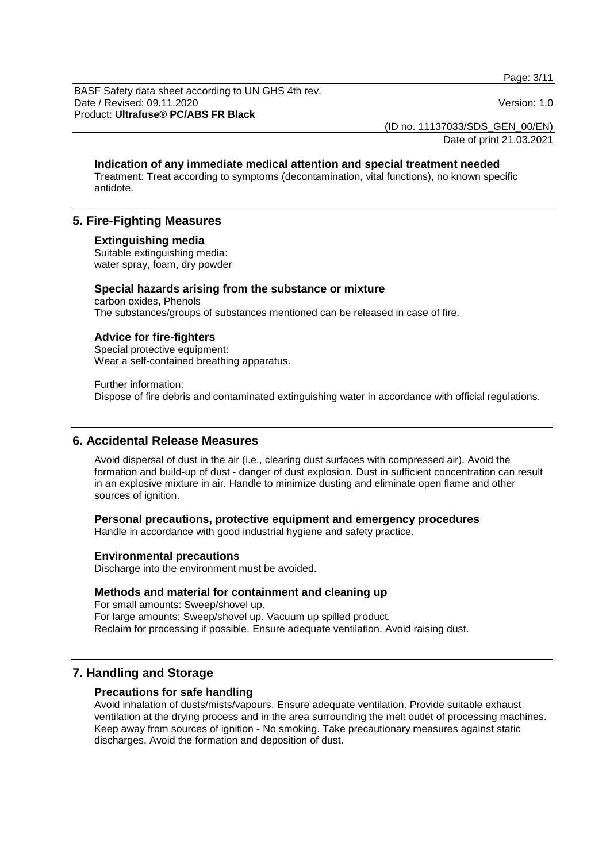Page: 3/11

BASF Safety data sheet according to UN GHS 4th rev. Date / Revised: 09.11.2020 **Version: 1.0** Product: **Ultrafuse® PC/ABS FR Black**

(ID no. 11137033/SDS\_GEN\_00/EN)

Date of print 21.03.2021

#### **Indication of any immediate medical attention and special treatment needed**

Treatment: Treat according to symptoms (decontamination, vital functions), no known specific antidote.

# **5. Fire-Fighting Measures**

#### **Extinguishing media**

Suitable extinguishing media: water spray, foam, dry powder

#### **Special hazards arising from the substance or mixture**

carbon oxides, Phenols The substances/groups of substances mentioned can be released in case of fire.

#### **Advice for fire-fighters**

Special protective equipment: Wear a self-contained breathing apparatus.

Further information: Dispose of fire debris and contaminated extinguishing water in accordance with official regulations.

# **6. Accidental Release Measures**

Avoid dispersal of dust in the air (i.e., clearing dust surfaces with compressed air). Avoid the formation and build-up of dust - danger of dust explosion. Dust in sufficient concentration can result in an explosive mixture in air. Handle to minimize dusting and eliminate open flame and other sources of ignition.

# **Personal precautions, protective equipment and emergency procedures**

Handle in accordance with good industrial hygiene and safety practice.

#### **Environmental precautions**

Discharge into the environment must be avoided.

# **Methods and material for containment and cleaning up**

For small amounts: Sweep/shovel up. For large amounts: Sweep/shovel up. Vacuum up spilled product. Reclaim for processing if possible. Ensure adequate ventilation. Avoid raising dust.

# **7. Handling and Storage**

#### **Precautions for safe handling**

Avoid inhalation of dusts/mists/vapours. Ensure adequate ventilation. Provide suitable exhaust ventilation at the drying process and in the area surrounding the melt outlet of processing machines. Keep away from sources of ignition - No smoking. Take precautionary measures against static discharges. Avoid the formation and deposition of dust.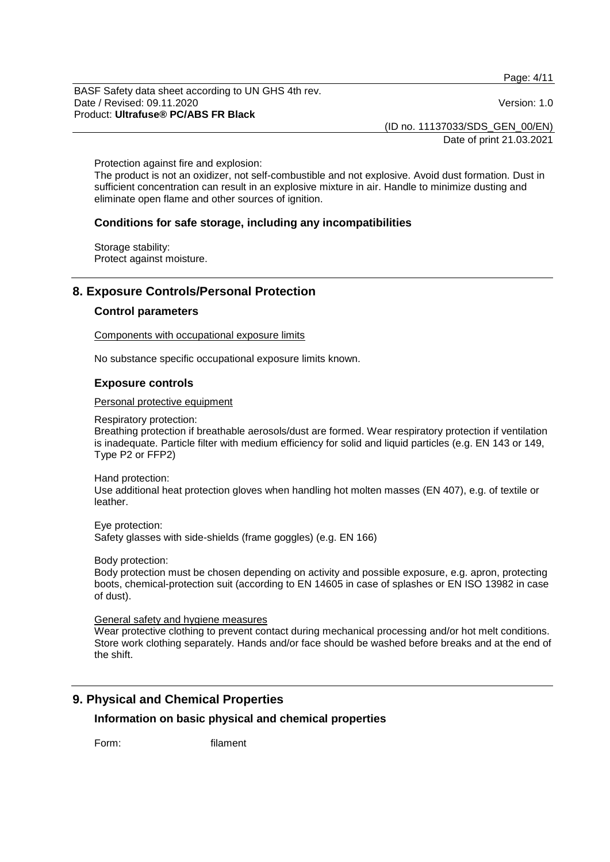Page: 4/11

BASF Safety data sheet according to UN GHS 4th rev. Date / Revised: 09.11.2020 **Version: 1.0** Product: **Ultrafuse® PC/ABS FR Black**

(ID no. 11137033/SDS\_GEN\_00/EN)

Date of print 21.03.2021

Protection against fire and explosion:

The product is not an oxidizer, not self-combustible and not explosive. Avoid dust formation. Dust in sufficient concentration can result in an explosive mixture in air. Handle to minimize dusting and eliminate open flame and other sources of ignition.

# **Conditions for safe storage, including any incompatibilities**

Storage stability: Protect against moisture.

# **8. Exposure Controls/Personal Protection**

#### **Control parameters**

Components with occupational exposure limits

No substance specific occupational exposure limits known.

#### **Exposure controls**

Personal protective equipment

Respiratory protection:

Breathing protection if breathable aerosols/dust are formed. Wear respiratory protection if ventilation is inadequate. Particle filter with medium efficiency for solid and liquid particles (e.g. EN 143 or 149, Type P2 or FFP2)

Hand protection:

Use additional heat protection gloves when handling hot molten masses (EN 407), e.g. of textile or leather.

Eye protection: Safety glasses with side-shields (frame goggles) (e.g. EN 166)

Body protection:

Body protection must be chosen depending on activity and possible exposure, e.g. apron, protecting boots, chemical-protection suit (according to EN 14605 in case of splashes or EN ISO 13982 in case of dust).

General safety and hygiene measures

Wear protective clothing to prevent contact during mechanical processing and/or hot melt conditions. Store work clothing separately. Hands and/or face should be washed before breaks and at the end of the shift.

# **9. Physical and Chemical Properties**

# **Information on basic physical and chemical properties**

Form: filament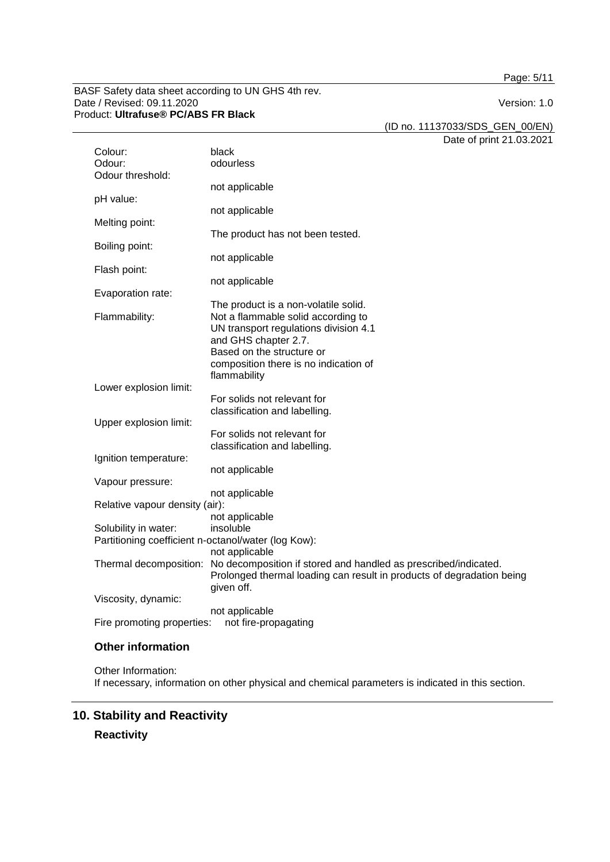Page: 5/11

BASF Safety data sheet according to UN GHS 4th rev. Date / Revised: 09.11.2020 Product: **Ultrafuse® PC/ABS FR Black**

(ID no. 11137033/SDS\_GEN\_00/EN)

Date of print 21.03.2021

| Colour:                                             | black                                                                                  |  |  |  |
|-----------------------------------------------------|----------------------------------------------------------------------------------------|--|--|--|
| Odour:                                              | odourless                                                                              |  |  |  |
| Odour threshold:                                    |                                                                                        |  |  |  |
| pH value:                                           | not applicable                                                                         |  |  |  |
|                                                     | not applicable                                                                         |  |  |  |
| Melting point:                                      |                                                                                        |  |  |  |
|                                                     | The product has not been tested.                                                       |  |  |  |
| Boiling point:                                      |                                                                                        |  |  |  |
| Flash point:                                        | not applicable                                                                         |  |  |  |
|                                                     | not applicable                                                                         |  |  |  |
| Evaporation rate:                                   |                                                                                        |  |  |  |
|                                                     | The product is a non-volatile solid.                                                   |  |  |  |
| Flammability:                                       | Not a flammable solid according to                                                     |  |  |  |
|                                                     | UN transport regulations division 4.1                                                  |  |  |  |
|                                                     | and GHS chapter 2.7.<br>Based on the structure or                                      |  |  |  |
|                                                     | composition there is no indication of                                                  |  |  |  |
|                                                     | flammability                                                                           |  |  |  |
| Lower explosion limit:                              |                                                                                        |  |  |  |
|                                                     | For solids not relevant for                                                            |  |  |  |
|                                                     | classification and labelling.                                                          |  |  |  |
| Upper explosion limit:                              | For solids not relevant for                                                            |  |  |  |
|                                                     | classification and labelling.                                                          |  |  |  |
| Ignition temperature:                               |                                                                                        |  |  |  |
|                                                     | not applicable                                                                         |  |  |  |
| Vapour pressure:                                    |                                                                                        |  |  |  |
|                                                     | not applicable                                                                         |  |  |  |
| Relative vapour density (air):                      | not applicable                                                                         |  |  |  |
| Solubility in water:                                | insoluble                                                                              |  |  |  |
| Partitioning coefficient n-octanol/water (log Kow): |                                                                                        |  |  |  |
|                                                     | not applicable                                                                         |  |  |  |
|                                                     | Thermal decomposition: No decomposition if stored and handled as prescribed/indicated. |  |  |  |
|                                                     | Prolonged thermal loading can result in products of degradation being                  |  |  |  |
| Viscosity, dynamic:                                 | given off.                                                                             |  |  |  |
|                                                     | not applicable                                                                         |  |  |  |
| Fire promoting properties:<br>not fire-propagating  |                                                                                        |  |  |  |

# **Other information**

Other Information: If necessary, information on other physical and chemical parameters is indicated in this section.

# **10. Stability and Reactivity**

**Reactivity**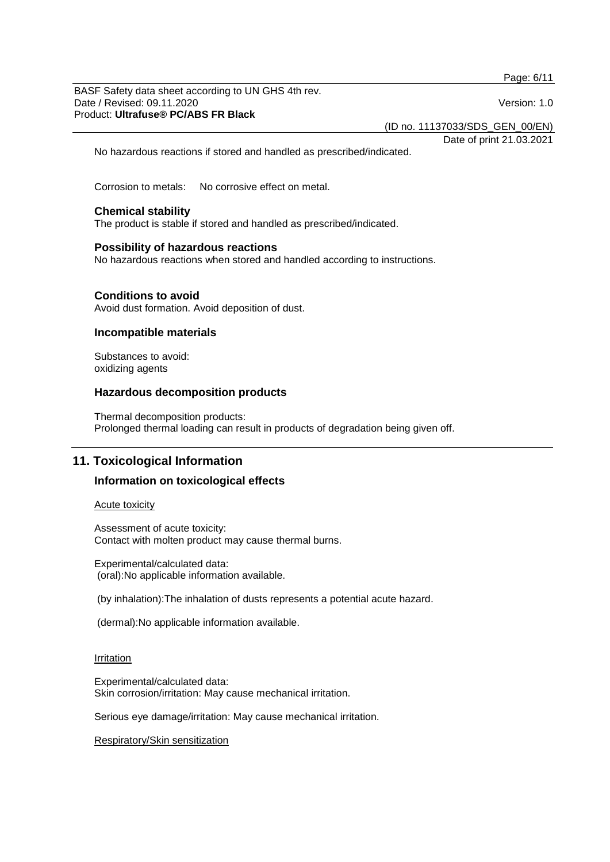Page: 6/11

BASF Safety data sheet according to UN GHS 4th rev. Date / Revised: 09.11.2020 **Version: 1.0** Product: **Ultrafuse® PC/ABS FR Black**

(ID no. 11137033/SDS\_GEN\_00/EN)

Date of print 21.03.2021

No hazardous reactions if stored and handled as prescribed/indicated.

Corrosion to metals: No corrosive effect on metal.

#### **Chemical stability**

The product is stable if stored and handled as prescribed/indicated.

#### **Possibility of hazardous reactions**

No hazardous reactions when stored and handled according to instructions.

#### **Conditions to avoid**

Avoid dust formation. Avoid deposition of dust.

#### **Incompatible materials**

Substances to avoid: oxidizing agents

#### **Hazardous decomposition products**

Thermal decomposition products: Prolonged thermal loading can result in products of degradation being given off.

# **11. Toxicological Information**

# **Information on toxicological effects**

Acute toxicity

Assessment of acute toxicity: Contact with molten product may cause thermal burns.

Experimental/calculated data: (oral):No applicable information available.

(by inhalation):The inhalation of dusts represents a potential acute hazard.

(dermal):No applicable information available.

#### Irritation

Experimental/calculated data: Skin corrosion/irritation: May cause mechanical irritation.

Serious eye damage/irritation: May cause mechanical irritation.

Respiratory/Skin sensitization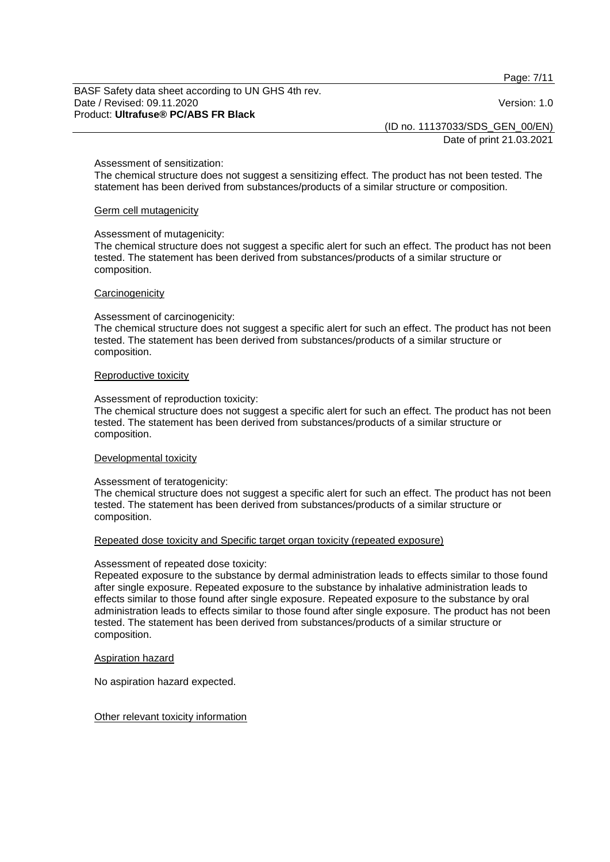Page: 7/11

BASF Safety data sheet according to UN GHS 4th rev. Date / Revised: 09.11.2020 **Version: 1.0** Product: **Ultrafuse® PC/ABS FR Black**

(ID no. 11137033/SDS\_GEN\_00/EN)

Date of print 21.03.2021

#### Assessment of sensitization:

The chemical structure does not suggest a sensitizing effect. The product has not been tested. The statement has been derived from substances/products of a similar structure or composition.

#### Germ cell mutagenicity

#### Assessment of mutagenicity:

The chemical structure does not suggest a specific alert for such an effect. The product has not been tested. The statement has been derived from substances/products of a similar structure or composition.

#### **Carcinogenicity**

#### Assessment of carcinogenicity:

The chemical structure does not suggest a specific alert for such an effect. The product has not been tested. The statement has been derived from substances/products of a similar structure or composition.

#### Reproductive toxicity

#### Assessment of reproduction toxicity:

The chemical structure does not suggest a specific alert for such an effect. The product has not been tested. The statement has been derived from substances/products of a similar structure or composition.

#### Developmental toxicity

#### Assessment of teratogenicity:

The chemical structure does not suggest a specific alert for such an effect. The product has not been tested. The statement has been derived from substances/products of a similar structure or composition.

#### Repeated dose toxicity and Specific target organ toxicity (repeated exposure)

#### Assessment of repeated dose toxicity:

Repeated exposure to the substance by dermal administration leads to effects similar to those found after single exposure. Repeated exposure to the substance by inhalative administration leads to effects similar to those found after single exposure. Repeated exposure to the substance by oral administration leads to effects similar to those found after single exposure. The product has not been tested. The statement has been derived from substances/products of a similar structure or composition.

#### Aspiration hazard

No aspiration hazard expected.

#### Other relevant toxicity information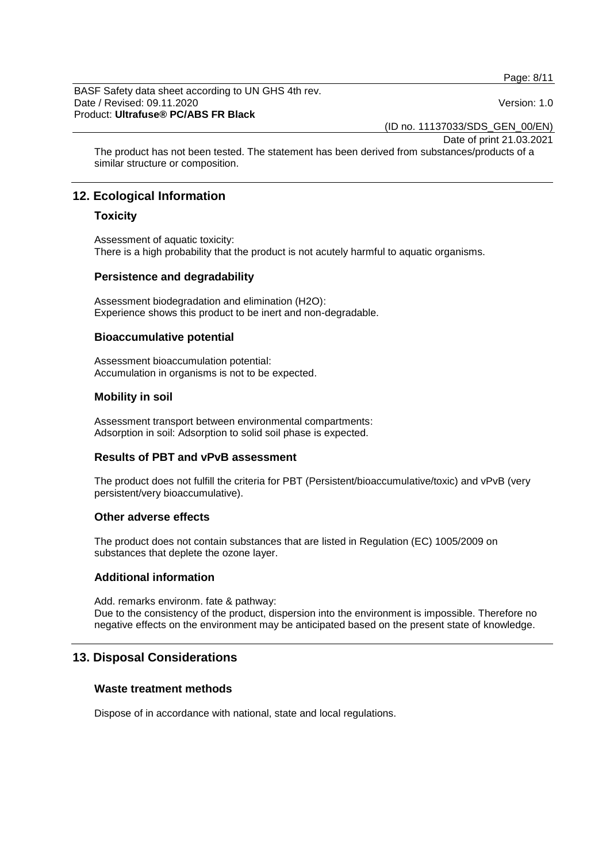Page: 8/11

BASF Safety data sheet according to UN GHS 4th rev. Date / Revised: 09.11.2020 **Version: 1.0** Product: **Ultrafuse® PC/ABS FR Black**

(ID no. 11137033/SDS\_GEN\_00/EN)

Date of print 21.03.2021

The product has not been tested. The statement has been derived from substances/products of a similar structure or composition.

# **12. Ecological Information**

# **Toxicity**

Assessment of aquatic toxicity: There is a high probability that the product is not acutely harmful to aquatic organisms.

# **Persistence and degradability**

Assessment biodegradation and elimination (H2O): Experience shows this product to be inert and non-degradable.

# **Bioaccumulative potential**

Assessment bioaccumulation potential: Accumulation in organisms is not to be expected.

# **Mobility in soil**

Assessment transport between environmental compartments: Adsorption in soil: Adsorption to solid soil phase is expected.

# **Results of PBT and vPvB assessment**

The product does not fulfill the criteria for PBT (Persistent/bioaccumulative/toxic) and vPvB (very persistent/very bioaccumulative).

# **Other adverse effects**

The product does not contain substances that are listed in Regulation (EC) 1005/2009 on substances that deplete the ozone layer.

# **Additional information**

Add. remarks environm. fate & pathway: Due to the consistency of the product, dispersion into the environment is impossible. Therefore no negative effects on the environment may be anticipated based on the present state of knowledge.

# **13. Disposal Considerations**

# **Waste treatment methods**

Dispose of in accordance with national, state and local regulations.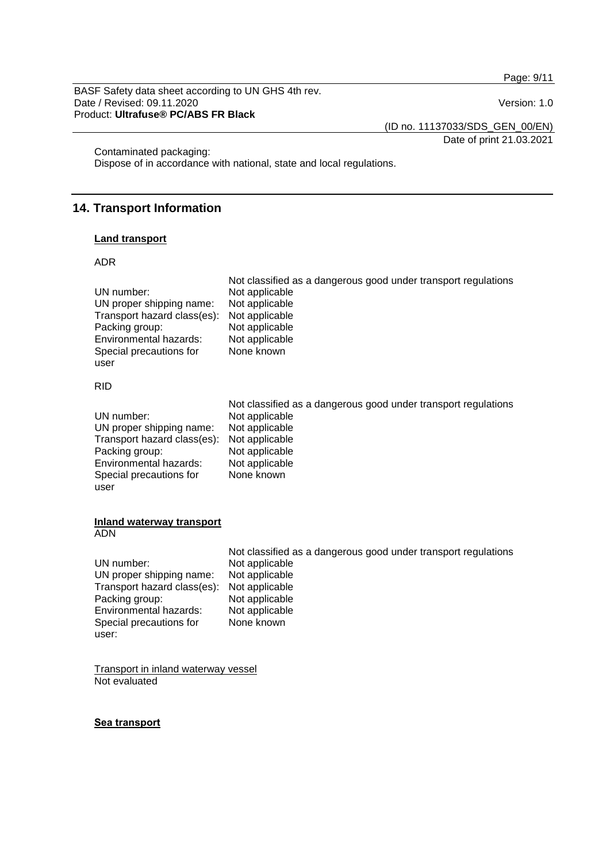Page: 9/11

BASF Safety data sheet according to UN GHS 4th rev. Date / Revised: 09.11.2020 Product: **Ultrafuse® PC/ABS FR Black**

(ID no. 11137033/SDS\_GEN\_00/EN)

Date of print 21.03.2021

Contaminated packaging:

Dispose of in accordance with national, state and local regulations.

# **14. Transport Information**

#### **Land transport**

#### ADR

| UN number:                  | Not classified as a dangerous good under transport regulations |
|-----------------------------|----------------------------------------------------------------|
| UN proper shipping name:    | Not applicable                                                 |
| Transport hazard class(es): | Not applicable                                                 |
| Packing group:              | Not applicable                                                 |
| Environmental hazards:      | Not applicable                                                 |
| Special precautions for     | Not applicable                                                 |
| user                        | None known                                                     |
| <b>RID</b>                  |                                                                |
| UN number:                  | Not classified as a dangerous good under transport regulations |
| UN proper shipping name:    | Not applicable                                                 |
| Transport hazard class(es): | Not applicable                                                 |
| Packing group:              | Not applicable                                                 |
| Environmental hazards:      | Not applicable                                                 |
| Special precautions for     | Not applicable                                                 |
| user                        | None known                                                     |

#### **Inland waterway transport** ADN

|                                            | Not classified as a dangerous good under transport regulations |
|--------------------------------------------|----------------------------------------------------------------|
| UN number:                                 | Not applicable                                                 |
| UN proper shipping name:                   | Not applicable                                                 |
| Transport hazard class(es): Not applicable |                                                                |
| Packing group:                             | Not applicable                                                 |
| Environmental hazards:                     | Not applicable                                                 |
| Special precautions for                    | None known                                                     |
| user:                                      |                                                                |

Transport in inland waterway vessel Not evaluated

# **Sea transport**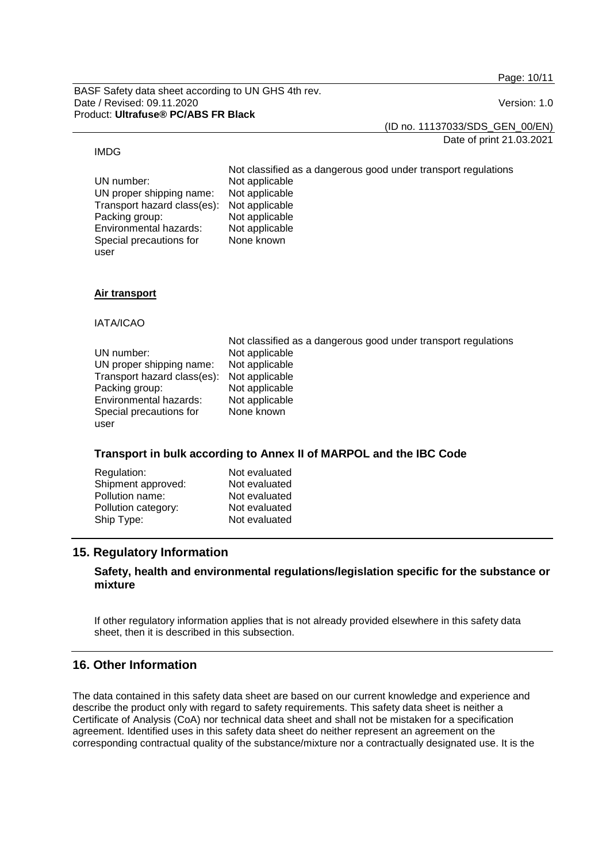Page: 10/11

BASF Safety data sheet according to UN GHS 4th rev. Date / Revised: 09.11.2020 **Version: 1.0** Product: **Ultrafuse® PC/ABS FR Black**

(ID no. 11137033/SDS\_GEN\_00/EN)

Date of print 21.03.2021

#### IMDG

user

Not classified as a dangerous good under transport regulations UN number: Not applicable<br>UN proper shipping name: Not applicable UN proper shipping name: Not applicable<br>Transport hazard class(es): Not applicable Transport hazard class(es): Not applicable Packing group: Not applicable<br>
Environmental hazards: Not applicable Environmental hazards: Special precautions for None known

# **Air transport**

IATA/ICAO

|                                            | Not classified as a dangerous good under transport regulations |
|--------------------------------------------|----------------------------------------------------------------|
| UN number:                                 | Not applicable                                                 |
| UN proper shipping name:                   | Not applicable                                                 |
| Transport hazard class(es): Not applicable |                                                                |
| Packing group:                             | Not applicable                                                 |
| Environmental hazards:                     | Not applicable                                                 |
| Special precautions for                    | None known                                                     |
| user                                       |                                                                |

# **Transport in bulk according to Annex II of MARPOL and the IBC Code**

| Regulation:         | Not evaluated |
|---------------------|---------------|
| Shipment approved:  | Not evaluated |
| Pollution name:     | Not evaluated |
| Pollution category: | Not evaluated |
| Ship Type:          | Not evaluated |

# **15. Regulatory Information**

# **Safety, health and environmental regulations/legislation specific for the substance or mixture**

If other regulatory information applies that is not already provided elsewhere in this safety data sheet, then it is described in this subsection.

# **16. Other Information**

The data contained in this safety data sheet are based on our current knowledge and experience and describe the product only with regard to safety requirements. This safety data sheet is neither a Certificate of Analysis (CoA) nor technical data sheet and shall not be mistaken for a specification agreement. Identified uses in this safety data sheet do neither represent an agreement on the corresponding contractual quality of the substance/mixture nor a contractually designated use. It is the